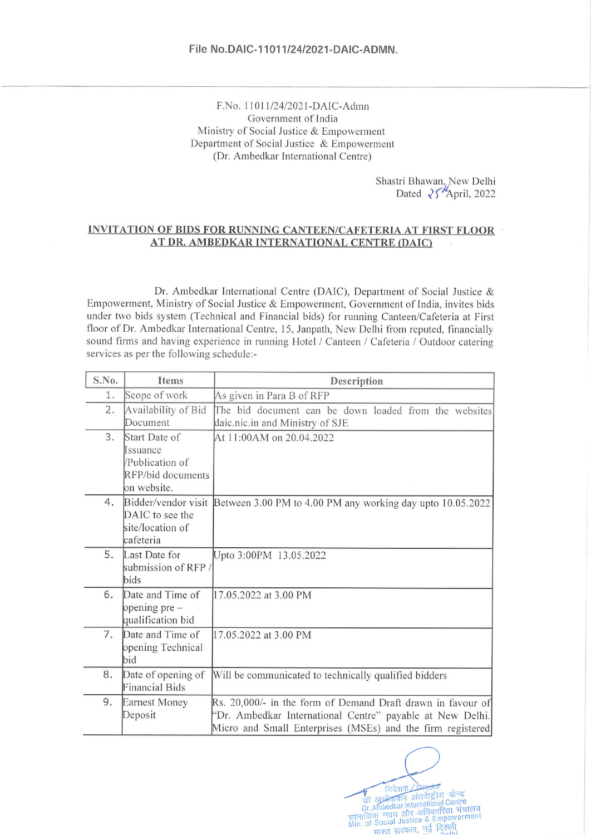#### F.No. 11011/24/2021-DAIC-Admn Government of India Ministry of Social Justice & Empowerment Department of Social Justice & Empowerment (Dr. Ambedkar International Centre)

Shastri Bhawan, New Delhi<br>Dated  $\sqrt[3]{\text{April}}$ , 2022

#### **INVITATION OF BIDS FOR RUNNING CANTEEN/CAFETERIA AT FIRST FLOOR** AT DR. AMBEDKAR INTERNATIONAL CENTRE (DAIC)

Dr. Ambedkar International Centre (DAIC), Department of Social Justice & Empowerment, Ministry of Social Justice & Empowerment, Government of India, invites bids under two bids system (Technical and Financial bids) for running Canteen/Cafeteria at First floor of Dr. Ambedkar International Centre, 15, Janpath, New Delhi from reputed, financially sound firms and having experience in running Hotel / Canteen / Cafeteria / Outdoor catering services as per the following schedule:-

| S.No. | Items                                                                            | Description                                                                                                                                                                            |  |  |  |  |  |
|-------|----------------------------------------------------------------------------------|----------------------------------------------------------------------------------------------------------------------------------------------------------------------------------------|--|--|--|--|--|
| 1.    | Scope of work                                                                    | As given in Para B of RFP                                                                                                                                                              |  |  |  |  |  |
| 2.    | Availability of Bid<br>Document                                                  | The bid document can be down loaded from the websites<br>daic.nic.in and Ministry of SJE                                                                                               |  |  |  |  |  |
| 3.    | Start Date of<br>Issuance<br>/Publication of<br>RFP/bid documents<br>on website. | At 11:00AM on 20.04.2022                                                                                                                                                               |  |  |  |  |  |
| 4.    | Bidder/vendor visit<br>DAIC to see the<br>site/location of<br>cafeteria          | Between 3.00 PM to 4.00 PM any working day upto 10.05.2022                                                                                                                             |  |  |  |  |  |
| 5.    | Last Date for<br>submission of RFP /<br>bids                                     | Upto 3:00PM 13.05.2022                                                                                                                                                                 |  |  |  |  |  |
| 6.    | Date and Time of<br>opening $pre-$<br>qualification bid                          | 17.05.2022 at 3.00 PM                                                                                                                                                                  |  |  |  |  |  |
| 7.    | Date and Time of<br>opening Technical<br>bid                                     | 17.05.2022 at 3.00 PM                                                                                                                                                                  |  |  |  |  |  |
| 8.    | Date of opening of<br><b>Financial Bids</b>                                      | Will be communicated to technically qualified bidders                                                                                                                                  |  |  |  |  |  |
| 9.    | <b>Earnest Money</b><br>Deposit                                                  | Rs. 20,000/- in the form of Demand Draft drawn in favour of<br>"Dr. Ambedkar International Centre" payable at New Delhi.<br>Micro and Small Enterprises (MSEs) and the firm registered |  |  |  |  |  |

निदेशक मिंग्लीय केन्द्र<br>जिं आने उत्तर अंतर्राष्ट्रीय केन्द्र<br>Dr. Ambedkar International Centre<br>सामाजिक न्याय और अधिकारिता मंत्रालय<br>Min. of Social Justice & Empowerment भारत सरकार, नई दिल्ली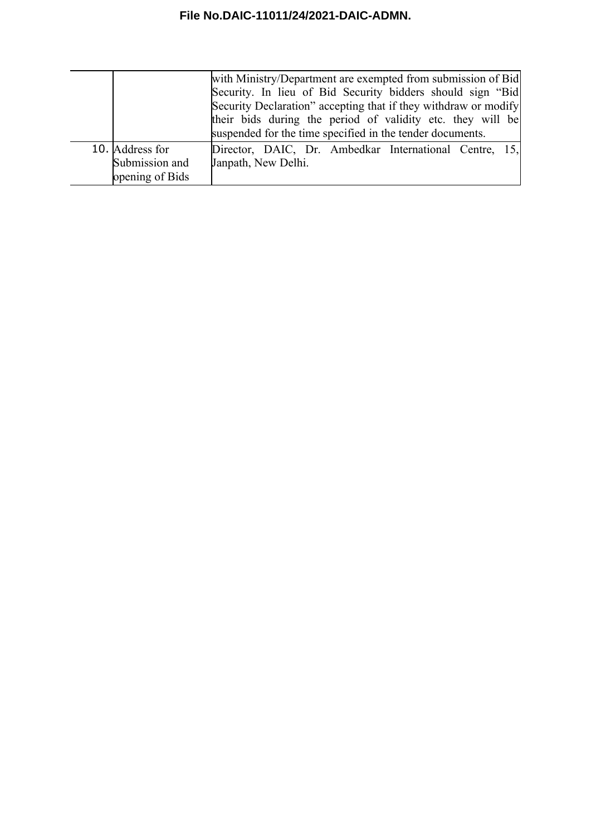|                 | with Ministry/Department are exempted from submission of Bid    |  |  |  |  |  |  |  |
|-----------------|-----------------------------------------------------------------|--|--|--|--|--|--|--|
|                 | Security. In lieu of Bid Security bidders should sign "Bid      |  |  |  |  |  |  |  |
|                 | Security Declaration" accepting that if they withdraw or modify |  |  |  |  |  |  |  |
|                 | their bids during the period of validity etc. they will be      |  |  |  |  |  |  |  |
|                 | suspended for the time specified in the tender documents.       |  |  |  |  |  |  |  |
| 10. Address for | Director, DAIC, Dr. Ambedkar International Centre, 15,          |  |  |  |  |  |  |  |
| Submission and  | Janpath, New Delhi.                                             |  |  |  |  |  |  |  |
| opening of Bids |                                                                 |  |  |  |  |  |  |  |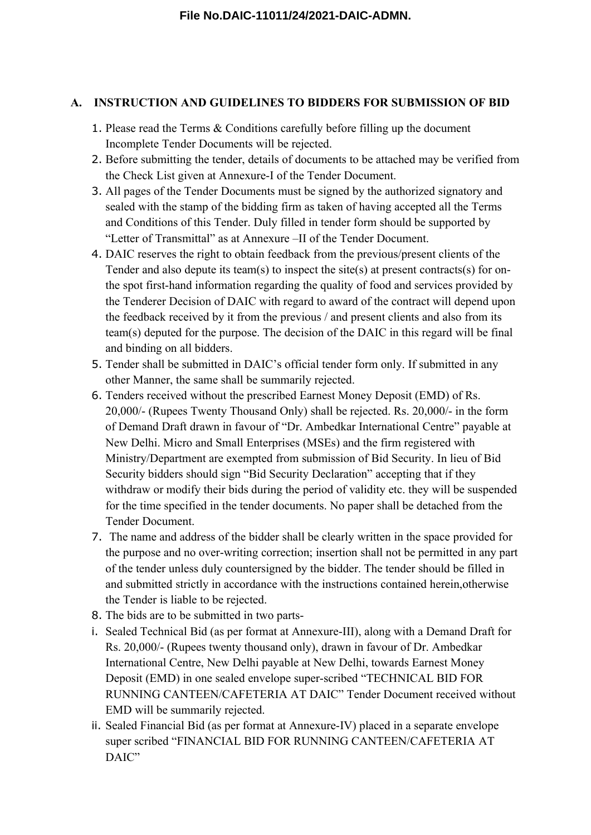### **A. INSTRUCTION AND GUIDELINES TO BIDDERS FOR SUBMISSION OF BID**

- 1. Please read the Terms & Conditions carefully before filling up the document Incomplete Tender Documents will be rejected.
- 2. Before submitting the tender, details of documents to be attached may be verified from the Check List given at Annexure-I of the Tender Document.
- 3. All pages of the Tender Documents must be signed by the authorized signatory and sealed with the stamp of the bidding firm as taken of having accepted all the Terms and Conditions of this Tender. Duly filled in tender form should be supported by "Letter of Transmittal" as at Annexure –II of the Tender Document.
- 4. DAIC reserves the right to obtain feedback from the previous/present clients of the Tender and also depute its team(s) to inspect the site(s) at present contracts(s) for onthe spot first-hand information regarding the quality of food and services provided by the Tenderer Decision of DAIC with regard to award of the contract will depend upon the feedback received by it from the previous / and present clients and also from its team(s) deputed for the purpose. The decision of the DAIC in this regard will be final and binding on all bidders.
- 5. Tender shall be submitted in DAIC's official tender form only. If submitted in any other Manner, the same shall be summarily rejected.
- 6. Tenders received without the prescribed Earnest Money Deposit (EMD) of Rs. 20,000/- (Rupees Twenty Thousand Only) shall be rejected. Rs. 20,000/- in the form of Demand Draft drawn in favour of "Dr. Ambedkar International Centre" payable at New Delhi. Micro and Small Enterprises (MSEs) and the firm registered with Ministry/Department are exempted from submission of Bid Security. In lieu of Bid Security bidders should sign "Bid Security Declaration" accepting that if they withdraw or modify their bids during the period of validity etc. they will be suspended for the time specified in the tender documents. No paper shall be detached from the Tender Document.
- 7. The name and address of the bidder shall be clearly written in the space provided for the purpose and no over-writing correction; insertion shall not be permitted in any part of the tender unless duly countersigned by the bidder. The tender should be filled in and submitted strictly in accordance with the instructions contained herein,otherwise the Tender is liable to be rejected.
- 8. The bids are to be submitted in two parts-
- i. Sealed Technical Bid (as per format at Annexure-III), along with a Demand Draft for Rs. 20,000/- (Rupees twenty thousand only), drawn in favour of Dr. Ambedkar International Centre, New Delhi payable at New Delhi, towards Earnest Money Deposit (EMD) in one sealed envelope super-scribed "TECHNICAL BID FOR RUNNING CANTEEN/CAFETERIA AT DAIC" Tender Document received without EMD will be summarily rejected.
- ii. Sealed Financial Bid (as per format at Annexure-IV) placed in a separate envelope super scribed "FINANCIAL BID FOR RUNNING CANTEEN/CAFETERIA AT DAIC"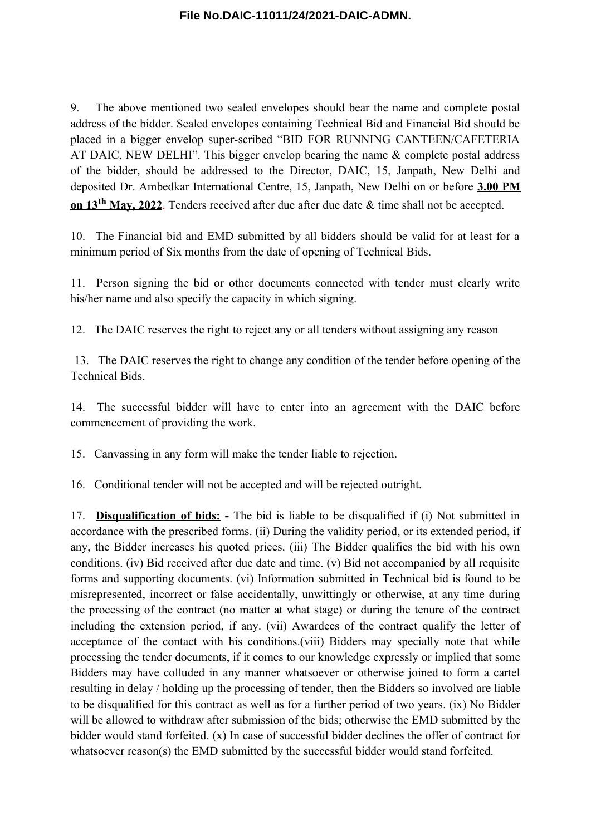9. The above mentioned two sealed envelopes should bear the name and complete postal address of the bidder. Sealed envelopes containing Technical Bid and Financial Bid should be placed in a bigger envelop super-scribed "BID FOR RUNNING CANTEEN/CAFETERIA AT DAIC, NEW DELHI". This bigger envelop bearing the name & complete postal address of the bidder, should be addressed to the Director, DAIC, 15, Janpath, New Delhi and deposited Dr. Ambedkar International Centre, 15, Janpath, New Delhi on or before **3.00 PM on 13th May, 2022**. Tenders received after due after due date & time shall not be accepted.

10. The Financial bid and EMD submitted by all bidders should be valid for at least for a minimum period of Six months from the date of opening of Technical Bids.

11. Person signing the bid or other documents connected with tender must clearly write his/her name and also specify the capacity in which signing.

12. The DAIC reserves the right to reject any or all tenders without assigning any reason

13. The DAIC reserves the right to change any condition of the tender before opening of the Technical Bids.

14. The successful bidder will have to enter into an agreement with the DAIC before commencement of providing the work.

15. Canvassing in any form will make the tender liable to rejection.

16. Conditional tender will not be accepted and will be rejected outright.

17. **Disqualification of bids: -** The bid is liable to be disqualified if (i) Not submitted in accordance with the prescribed forms. (ii) During the validity period, or its extended period, if any, the Bidder increases his quoted prices. (iii) The Bidder qualifies the bid with his own conditions. (iv) Bid received after due date and time. (v) Bid not accompanied by all requisite forms and supporting documents. (vi) Information submitted in Technical bid is found to be misrepresented, incorrect or false accidentally, unwittingly or otherwise, at any time during the processing of the contract (no matter at what stage) or during the tenure of the contract including the extension period, if any. (vii) Awardees of the contract qualify the letter of acceptance of the contact with his conditions.(viii) Bidders may specially note that while processing the tender documents, if it comes to our knowledge expressly or implied that some Bidders may have colluded in any manner whatsoever or otherwise joined to form a cartel resulting in delay / holding up the processing of tender, then the Bidders so involved are liable to be disqualified for this contract as well as for a further period of two years. (ix) No Bidder will be allowed to withdraw after submission of the bids; otherwise the EMD submitted by the bidder would stand forfeited. (x) In case of successful bidder declines the offer of contract for whatsoever reason(s) the EMD submitted by the successful bidder would stand forfeited.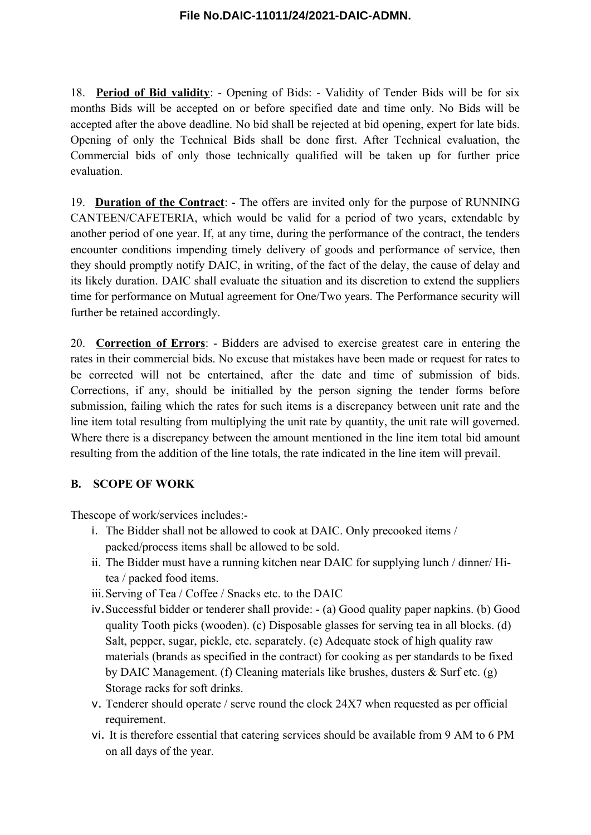18. **Period of Bid validity**: - Opening of Bids: - Validity of Tender Bids will be for six months Bids will be accepted on or before specified date and time only. No Bids will be accepted after the above deadline. No bid shall be rejected at bid opening, expert for late bids. Opening of only the Technical Bids shall be done first. After Technical evaluation, the Commercial bids of only those technically qualified will be taken up for further price evaluation.

19. **Duration of the Contract**: - The offers are invited only for the purpose of RUNNING CANTEEN/CAFETERIA, which would be valid for a period of two years, extendable by another period of one year. If, at any time, during the performance of the contract, the tenders encounter conditions impending timely delivery of goods and performance of service, then they should promptly notify DAIC, in writing, of the fact of the delay, the cause of delay and its likely duration. DAIC shall evaluate the situation and its discretion to extend the suppliers time for performance on Mutual agreement for One/Two years. The Performance security will further be retained accordingly.

20. **Correction of Errors**: - Bidders are advised to exercise greatest care in entering the rates in their commercial bids. No excuse that mistakes have been made or request for rates to be corrected will not be entertained, after the date and time of submission of bids. Corrections, if any, should be initialled by the person signing the tender forms before submission, failing which the rates for such items is a discrepancy between unit rate and the line item total resulting from multiplying the unit rate by quantity, the unit rate will governed. Where there is a discrepancy between the amount mentioned in the line item total bid amount resulting from the addition of the line totals, the rate indicated in the line item will prevail.

### **B. SCOPE OF WORK**

Thescope of work/services includes:-

- i. The Bidder shall not be allowed to cook at DAIC. Only precooked items / packed/process items shall be allowed to be sold.
- ii. The Bidder must have a running kitchen near DAIC for supplying lunch / dinner/ Hitea / packed food items.
- iii.Serving of Tea / Coffee / Snacks etc. to the DAIC
- iv.Successful bidder or tenderer shall provide: (a) Good quality paper napkins. (b) Good quality Tooth picks (wooden). (c) Disposable glasses for serving tea in all blocks. (d) Salt, pepper, sugar, pickle, etc. separately. (e) Adequate stock of high quality raw materials (brands as specified in the contract) for cooking as per standards to be fixed by DAIC Management. (f) Cleaning materials like brushes, dusters & Surf etc. (g) Storage racks for soft drinks.
- v. Tenderer should operate / serve round the clock 24X7 when requested as per official requirement.
- vi. It is therefore essential that catering services should be available from 9 AM to 6 PM on all days of the year.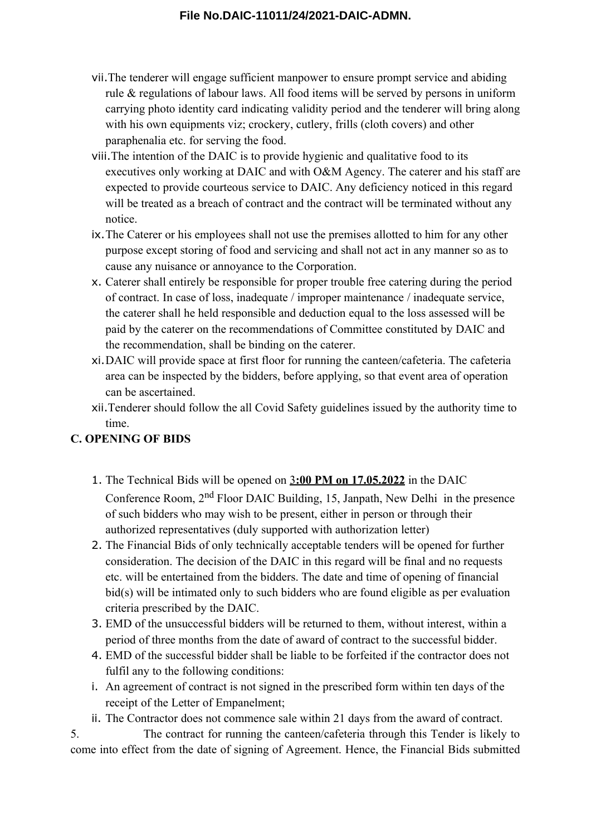- vii.The tenderer will engage sufficient manpower to ensure prompt service and abiding rule & regulations of labour laws. All food items will be served by persons in uniform carrying photo identity card indicating validity period and the tenderer will bring along with his own equipments viz; crockery, cutlery, frills (cloth covers) and other paraphenalia etc. for serving the food.
- viii.The intention of the DAIC is to provide hygienic and qualitative food to its executives only working at DAIC and with O&M Agency. The caterer and his staff are expected to provide courteous service to DAIC. Any deficiency noticed in this regard will be treated as a breach of contract and the contract will be terminated without any notice.
- ix.The Caterer or his employees shall not use the premises allotted to him for any other purpose except storing of food and servicing and shall not act in any manner so as to cause any nuisance or annoyance to the Corporation.
- x. Caterer shall entirely be responsible for proper trouble free catering during the period of contract. In case of loss, inadequate / improper maintenance / inadequate service, the caterer shall he held responsible and deduction equal to the loss assessed will be paid by the caterer on the recommendations of Committee constituted by DAIC and the recommendation, shall be binding on the caterer.
- xi.DAIC will provide space at first floor for running the canteen/cafeteria. The cafeteria area can be inspected by the bidders, before applying, so that event area of operation can be ascertained.
- xii.Tenderer should follow the all Covid Safety guidelines issued by the authority time to time.

# **C. OPENING OF BIDS**

- 1. The Technical Bids will be opened on 3 **:00 PM on 17.05.2022** in the DAIC Conference Room, 2nd Floor DAIC Building, 15, Janpath, New Delhi in the presence of such bidders who may wish to be present, either in person or through their authorized representatives (duly supported with authorization letter)
- 2. The Financial Bids of only technically acceptable tenders will be opened for further consideration. The decision of the DAIC in this regard will be final and no requests etc. will be entertained from the bidders. The date and time of opening of financial bid(s) will be intimated only to such bidders who are found eligible as per evaluation criteria prescribed by the DAIC.
- 3. EMD of the unsuccessful bidders will be returned to them, without interest, within a period of three months from the date of award of contract to the successful bidder.
- 4. EMD of the successful bidder shall be liable to be forfeited if the contractor does not fulfil any to the following conditions:
- i. An agreement of contract is not signed in the prescribed form within ten days of the receipt of the Letter of Empanelment;
- ii. The Contractor does not commence sale within 21 days from the award of contract.

5. The contract for running the canteen/cafeteria through this Tender is likely to come into effect from the date of signing of Agreement. Hence, the Financial Bids submitted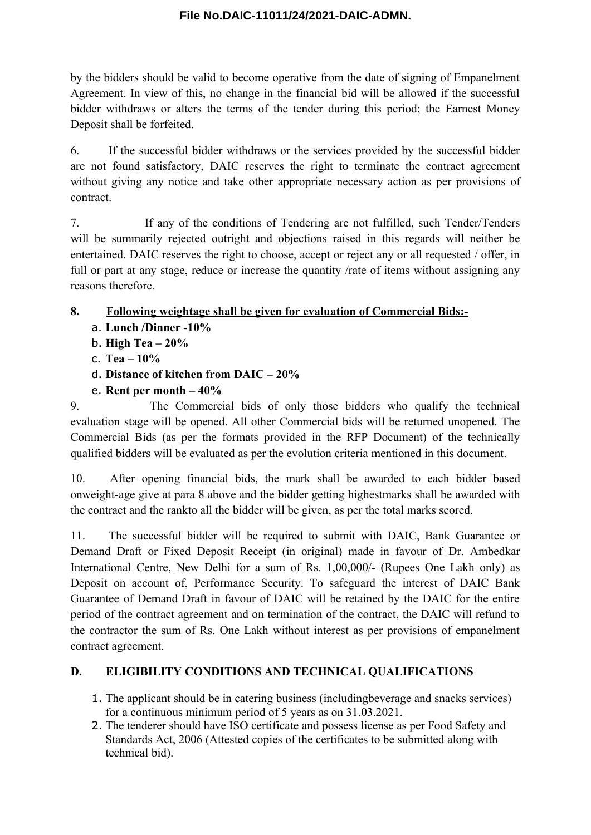by the bidders should be valid to become operative from the date of signing of Empanelment Agreement. In view of this, no change in the financial bid will be allowed if the successful bidder withdraws or alters the terms of the tender during this period; the Earnest Money Deposit shall be forfeited.

6. If the successful bidder withdraws or the services provided by the successful bidder are not found satisfactory, DAIC reserves the right to terminate the contract agreement without giving any notice and take other appropriate necessary action as per provisions of contract.

7. If any of the conditions of Tendering are not fulfilled, such Tender/Tenders will be summarily rejected outright and objections raised in this regards will neither be entertained. DAIC reserves the right to choose, accept or reject any or all requested / offer, in full or part at any stage, reduce or increase the quantity /rate of items without assigning any reasons therefore.

# **8. Following weightage shall be given for evaluation of Commercial Bids:-**

- a. **Lunch /Dinner -10%**
- b. **High Tea 20%**
- c. **Tea 10%**
- d. **Distance of kitchen from DAIC 20%**
- e. **Rent per month 40%**

9. The Commercial bids of only those bidders who qualify the technical evaluation stage will be opened. All other Commercial bids will be returned unopened. The Commercial Bids (as per the formats provided in the RFP Document) of the technically qualified bidders will be evaluated as per the evolution criteria mentioned in this document.

10. After opening financial bids, the mark shall be awarded to each bidder based onweight-age give at para 8 above and the bidder getting highestmarks shall be awarded with the contract and the rankto all the bidder will be given, as per the total marks scored.

11. The successful bidder will be required to submit with DAIC, Bank Guarantee or Demand Draft or Fixed Deposit Receipt (in original) made in favour of Dr. Ambedkar International Centre, New Delhi for a sum of Rs. 1,00,000/- (Rupees One Lakh only) as Deposit on account of, Performance Security. To safeguard the interest of DAIC Bank Guarantee of Demand Draft in favour of DAIC will be retained by the DAIC for the entire period of the contract agreement and on termination of the contract, the DAIC will refund to the contractor the sum of Rs. One Lakh without interest as per provisions of empanelment contract agreement.

# **D. ELIGIBILITY CONDITIONS AND TECHNICAL QUALIFICATIONS**

- 1. The applicant should be in catering business (includingbeverage and snacks services) for a continuous minimum period of 5 years as on 31.03.2021.
- 2. The tenderer should have ISO certificate and possess license as per Food Safety and Standards Act, 2006 (Attested copies of the certificates to be submitted along with technical bid).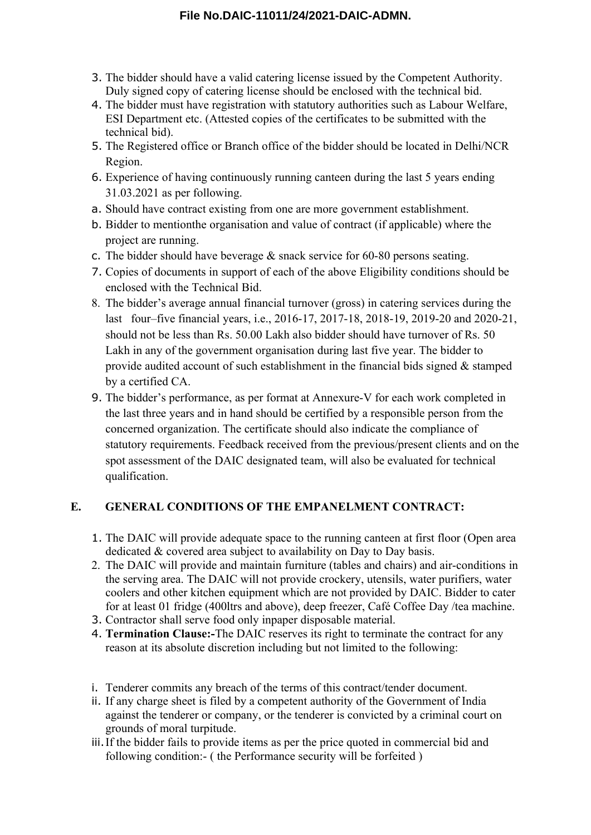- 3. The bidder should have a valid catering license issued by the Competent Authority. Duly signed copy of catering license should be enclosed with the technical bid.
- 4. The bidder must have registration with statutory authorities such as Labour Welfare, ESI Department etc. (Attested copies of the certificates to be submitted with the technical bid).
- 5. The Registered office or Branch office of the bidder should be located in Delhi/NCR Region.
- 6. Experience of having continuously running canteen during the last 5 years ending 31.03.2021 as per following.
- a. Should have contract existing from one are more government establishment.
- b. Bidder to mentionthe organisation and value of contract (if applicable) where the project are running.
- c. The bidder should have beverage & snack service for 60-80 persons seating.
- 7. Copies of documents in support of each of the above Eligibility conditions should be enclosed with the Technical Bid.
- 8. The bidder's average annual financial turnover (gross) in catering services during the last four–five financial years, i.e., 2016-17, 2017-18, 2018-19, 2019-20 and 2020-21, should not be less than Rs. 50.00 Lakh also bidder should have turnover of Rs. 50 Lakh in any of the government organisation during last five year. The bidder to provide audited account of such establishment in the financial bids signed & stamped by a certified CA.
- 9. The bidder's performance, as per format at Annexure-V for each work completed in the last three years and in hand should be certified by a responsible person from the concerned organization. The certificate should also indicate the compliance of statutory requirements. Feedback received from the previous/present clients and on the spot assessment of the DAIC designated team, will also be evaluated for technical qualification.

# **E. GENERAL CONDITIONS OF THE EMPANELMENT CONTRACT:**

- 1. The DAIC will provide adequate space to the running canteen at first floor (Open area dedicated & covered area subject to availability on Day to Day basis.
- 2. The DAIC will provide and maintain furniture (tables and chairs) and air-conditions in the serving area. The DAIC will not provide crockery, utensils, water purifiers, water coolers and other kitchen equipment which are not provided by DAIC. Bidder to cater for at least 01 fridge (400ltrs and above), deep freezer, Café Coffee Day /tea machine.
- 3. Contractor shall serve food only inpaper disposable material.
- 4. **Termination Clause:-**The DAIC reserves its right to terminate the contract for any reason at its absolute discretion including but not limited to the following:
- i. Tenderer commits any breach of the terms of this contract/tender document.
- ii. If any charge sheet is filed by a competent authority of the Government of India against the tenderer or company, or the tenderer is convicted by a criminal court on grounds of moral turpitude.
- iii.If the bidder fails to provide items as per the price quoted in commercial bid and following condition:- ( the Performance security will be forfeited )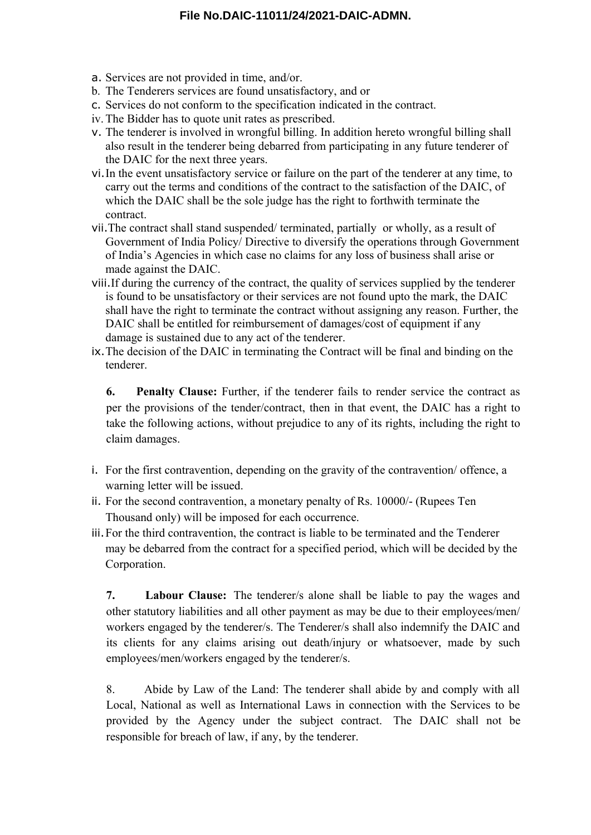- a. Services are not provided in time, and/or.
- b. The Tenderers services are found unsatisfactory, and or
- c. Services do not conform to the specification indicated in the contract.
- iv.The Bidder has to quote unit rates as prescribed.
- v. The tenderer is involved in wrongful billing. In addition hereto wrongful billing shall also result in the tenderer being debarred from participating in any future tenderer of the DAIC for the next three years.
- vi.In the event unsatisfactory service or failure on the part of the tenderer at any time, to carry out the terms and conditions of the contract to the satisfaction of the DAIC, of which the DAIC shall be the sole judge has the right to forthwith terminate the contract.
- vii.The contract shall stand suspended/ terminated, partially or wholly, as a result of Government of India Policy/ Directive to diversify the operations through Government of India's Agencies in which case no claims for any loss of business shall arise or made against the DAIC.
- viii.If during the currency of the contract, the quality of services supplied by the tenderer is found to be unsatisfactory or their services are not found upto the mark, the DAIC shall have the right to terminate the contract without assigning any reason. Further, the DAIC shall be entitled for reimbursement of damages/cost of equipment if any damage is sustained due to any act of the tenderer.
- ix.The decision of the DAIC in terminating the Contract will be final and binding on the tenderer.

**6. Penalty Clause:** Further, if the tenderer fails to render service the contract as per the provisions of the tender/contract, then in that event, the DAIC has a right to take the following actions, without prejudice to any of its rights, including the right to claim damages.

- i. For the first contravention, depending on the gravity of the contravention/ offence, a warning letter will be issued.
- ii. For the second contravention, a monetary penalty of Rs. 10000/- (Rupees Ten Thousand only) will be imposed for each occurrence.
- iii.For the third contravention, the contract is liable to be terminated and the Tenderer may be debarred from the contract for a specified period, which will be decided by the Corporation.

**7. Labour Clause:** The tenderer/s alone shall be liable to pay the wages and other statutory liabilities and all other payment as may be due to their employees/men/ workers engaged by the tenderer/s. The Tenderer/s shall also indemnify the DAIC and its clients for any claims arising out death/injury or whatsoever, made by such employees/men/workers engaged by the tenderer/s.

8. Abide by Law of the Land: The tenderer shall abide by and comply with all Local, National as well as International Laws in connection with the Services to be provided by the Agency under the subject contract. The DAIC shall not be responsible for breach of law, if any, by the tenderer.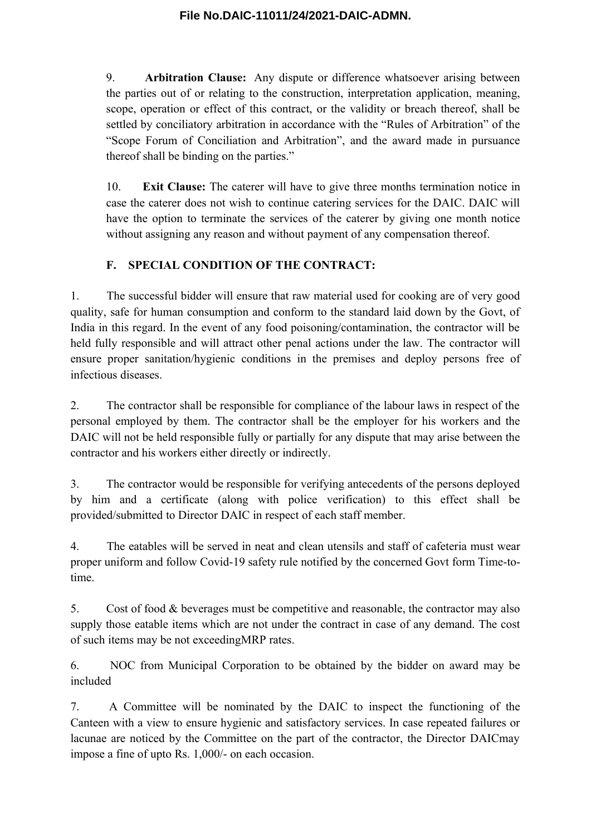9. **Arbitration Clause:** Any dispute or difference whatsoever arising between the parties out of or relating to the construction, interpretation application, meaning, scope, operation or effect of this contract, or the validity or breach thereof, shall be settled by conciliatory arbitration in accordance with the "Rules of Arbitration" of the "Scope Forum of Conciliation and Arbitration", and the award made in pursuance thereof shall be binding on the parties."

10. **Exit Clause:** The caterer will have to give three months termination notice in case the caterer does not wish to continue catering services for the DAIC. DAIC will have the option to terminate the services of the caterer by giving one month notice without assigning any reason and without payment of any compensation thereof.

# **F. SPECIAL CONDITION OF THE CONTRACT:**

1. The successful bidder will ensure that raw material used for cooking are of very good quality, safe for human consumption and conform to the standard laid down by the Govt, of India in this regard. In the event of any food poisoning/contamination, the contractor will be held fully responsible and will attract other penal actions under the law. The contractor will ensure proper sanitation/hygienic conditions in the premises and deploy persons free of infectious diseases.

2. The contractor shall be responsible for compliance of the labour laws in respect of the personal employed by them. The contractor shall be the employer for his workers and the DAIC will not be held responsible fully or partially for any dispute that may arise between the contractor and his workers either directly or indirectly.

3. The contractor would be responsible for verifying antecedents of the persons deployed by him and a certificate (along with police verification) to this effect shall be provided/submitted to Director DAIC in respect of each staff member.

4. The eatables will be served in neat and clean utensils and staff of cafeteria must wear proper uniform and follow Covid-19 safety rule notified by the concerned Govt form Time-totime.

5. Cost of food & beverages must be competitive and reasonable, the contractor may also supply those eatable items which are not under the contract in case of any demand. The cost of such items may be not exceedingMRP rates.

6. NOC from Municipal Corporation to be obtained by the bidder on award may be included

7. A Committee will be nominated by the DAIC to inspect the functioning of the Canteen with a view to ensure hygienic and satisfactory services. In case repeated failures or lacunae are noticed by the Committee on the part of the contractor, the Director DAICmay impose a fine of upto Rs. 1,000/- on each occasion.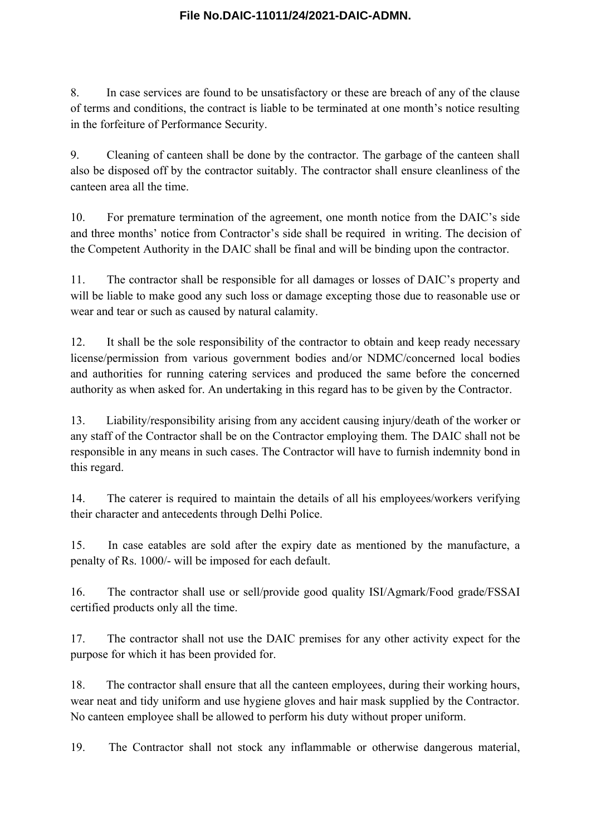8. In case services are found to be unsatisfactory or these are breach of any of the clause of terms and conditions, the contract is liable to be terminated at one month's notice resulting in the forfeiture of Performance Security.

9. Cleaning of canteen shall be done by the contractor. The garbage of the canteen shall also be disposed off by the contractor suitably. The contractor shall ensure cleanliness of the canteen area all the time.

10. For premature termination of the agreement, one month notice from the DAIC's side and three months' notice from Contractor's side shall be required in writing. The decision of the Competent Authority in the DAIC shall be final and will be binding upon the contractor.

11. The contractor shall be responsible for all damages or losses of DAIC's property and will be liable to make good any such loss or damage excepting those due to reasonable use or wear and tear or such as caused by natural calamity.

12. It shall be the sole responsibility of the contractor to obtain and keep ready necessary license/permission from various government bodies and/or NDMC/concerned local bodies and authorities for running catering services and produced the same before the concerned authority as when asked for. An undertaking in this regard has to be given by the Contractor.

13. Liability/responsibility arising from any accident causing injury/death of the worker or any staff of the Contractor shall be on the Contractor employing them. The DAIC shall not be responsible in any means in such cases. The Contractor will have to furnish indemnity bond in this regard.

14. The caterer is required to maintain the details of all his employees/workers verifying their character and antecedents through Delhi Police.

15. In case eatables are sold after the expiry date as mentioned by the manufacture, a penalty of Rs. 1000/- will be imposed for each default.

16. The contractor shall use or sell/provide good quality ISI/Agmark/Food grade/FSSAI certified products only all the time.

17. The contractor shall not use the DAIC premises for any other activity expect for the purpose for which it has been provided for.

18. The contractor shall ensure that all the canteen employees, during their working hours, wear neat and tidy uniform and use hygiene gloves and hair mask supplied by the Contractor. No canteen employee shall be allowed to perform his duty without proper uniform.

19. The Contractor shall not stock any inflammable or otherwise dangerous material,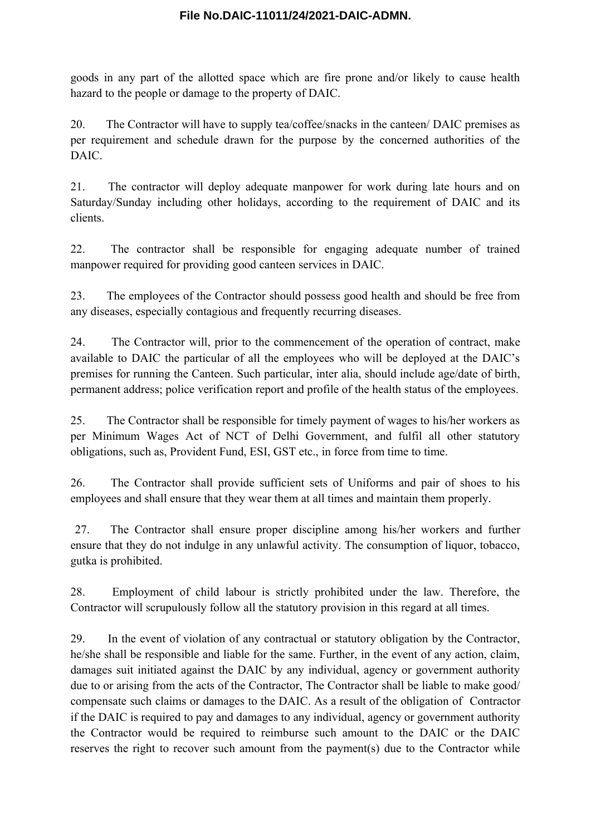goods in any part of the allotted space which are fire prone and/or likely to cause health hazard to the people or damage to the property of DAIC.

20. The Contractor will have to supply tea/coffee/snacks in the canteen/ DAIC premises as per requirement and schedule drawn for the purpose by the concerned authorities of the DAIC.

21. The contractor will deploy adequate manpower for work during late hours and on Saturday/Sunday including other holidays, according to the requirement of DAIC and its clients.

22. The contractor shall be responsible for engaging adequate number of trained manpower required for providing good canteen services in DAIC.

23. The employees of the Contractor should possess good health and should be free from any diseases, especially contagious and frequently recurring diseases.

24. The Contractor will, prior to the commencement of the operation of contract, make available to DAIC the particular of all the employees who will be deployed at the DAIC's premises for running the Canteen. Such particular, inter alia, should include age/date of birth, permanent address; police verification report and profile of the health status of the employees.

25. The Contractor shall be responsible for timely payment of wages to his/her workers as per Minimum Wages Act of NCT of Delhi Government, and fulfil all other statutory obligations, such as, Provident Fund, ESI, GST etc., in force from time to time.

26. The Contractor shall provide sufficient sets of Uniforms and pair of shoes to his employees and shall ensure that they wear them at all times and maintain them properly.

27. The Contractor shall ensure proper discipline among his/her workers and further ensure that they do not indulge in any unlawful activity. The consumption of liquor, tobacco, gutka is prohibited.

28. Employment of child labour is strictly prohibited under the law. Therefore, the Contractor will scrupulously follow all the statutory provision in this regard at all times.

29. In the event of violation of any contractual or statutory obligation by the Contractor, he/she shall be responsible and liable for the same. Further, in the event of any action, claim, damages suit initiated against the DAIC by any individual, agency or government authority due to or arising from the acts of the Contractor, The Contractor shall be liable to make good/ compensate such claims or damages to the DAIC. As a result of the obligation of Contractor if the DAIC is required to pay and damages to any individual, agency or government authority the Contractor would be required to reimburse such amount to the DAIC or the DAIC reserves the right to recover such amount from the payment(s) due to the Contractor while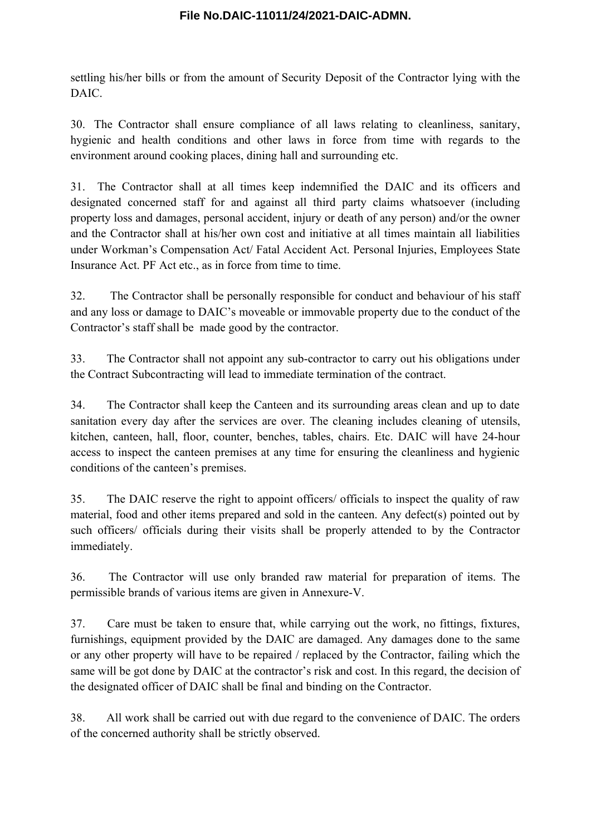settling his/her bills or from the amount of Security Deposit of the Contractor lying with the DAIC.

30. The Contractor shall ensure compliance of all laws relating to cleanliness, sanitary, hygienic and health conditions and other laws in force from time with regards to the environment around cooking places, dining hall and surrounding etc.

31. The Contractor shall at all times keep indemnified the DAIC and its officers and designated concerned staff for and against all third party claims whatsoever (including property loss and damages, personal accident, injury or death of any person) and/or the owner and the Contractor shall at his/her own cost and initiative at all times maintain all liabilities under Workman's Compensation Act/ Fatal Accident Act. Personal Injuries, Employees State Insurance Act. PF Act etc., as in force from time to time.

32. The Contractor shall be personally responsible for conduct and behaviour of his staff and any loss or damage to DAIC's moveable or immovable property due to the conduct of the Contractor's staff shall be made good by the contractor.

33. The Contractor shall not appoint any sub-contractor to carry out his obligations under the Contract Subcontracting will lead to immediate termination of the contract.

34. The Contractor shall keep the Canteen and its surrounding areas clean and up to date sanitation every day after the services are over. The cleaning includes cleaning of utensils, kitchen, canteen, hall, floor, counter, benches, tables, chairs. Etc. DAIC will have 24-hour access to inspect the canteen premises at any time for ensuring the cleanliness and hygienic conditions of the canteen's premises.

35. The DAIC reserve the right to appoint officers/ officials to inspect the quality of raw material, food and other items prepared and sold in the canteen. Any defect(s) pointed out by such officers/ officials during their visits shall be properly attended to by the Contractor immediately.

36. The Contractor will use only branded raw material for preparation of items. The permissible brands of various items are given in Annexure-V.

37. Care must be taken to ensure that, while carrying out the work, no fittings, fixtures, furnishings, equipment provided by the DAIC are damaged. Any damages done to the same or any other property will have to be repaired / replaced by the Contractor, failing which the same will be got done by DAIC at the contractor's risk and cost. In this regard, the decision of the designated officer of DAIC shall be final and binding on the Contractor.

38. All work shall be carried out with due regard to the convenience of DAIC. The orders of the concerned authority shall be strictly observed.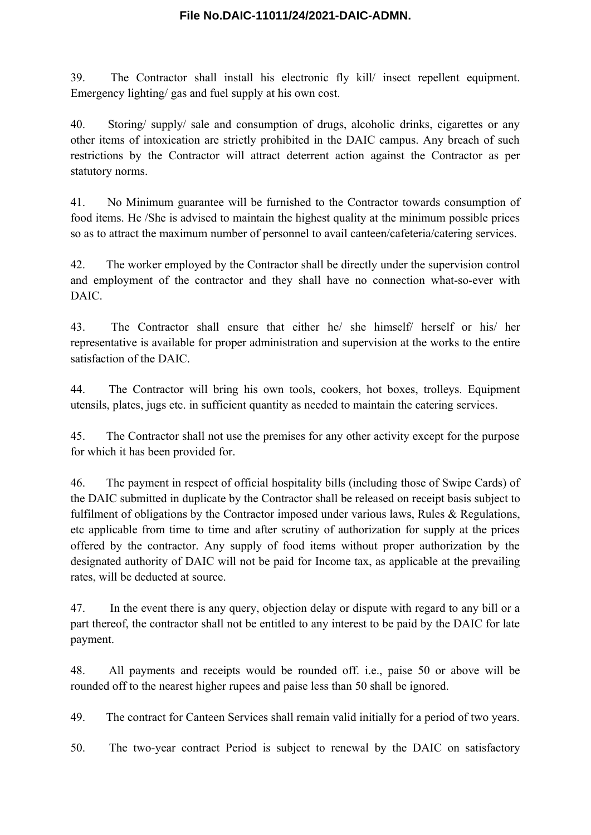39. The Contractor shall install his electronic fly kill/ insect repellent equipment. Emergency lighting/ gas and fuel supply at his own cost.

40. Storing/ supply/ sale and consumption of drugs, alcoholic drinks, cigarettes or any other items of intoxication are strictly prohibited in the DAIC campus. Any breach of such restrictions by the Contractor will attract deterrent action against the Contractor as per statutory norms.

41. No Minimum guarantee will be furnished to the Contractor towards consumption of food items. He /She is advised to maintain the highest quality at the minimum possible prices so as to attract the maximum number of personnel to avail canteen/cafeteria/catering services.

42. The worker employed by the Contractor shall be directly under the supervision control and employment of the contractor and they shall have no connection what-so-ever with DAIC.

43. The Contractor shall ensure that either he/ she himself/ herself or his/ her representative is available for proper administration and supervision at the works to the entire satisfaction of the DAIC.

44. The Contractor will bring his own tools, cookers, hot boxes, trolleys. Equipment utensils, plates, jugs etc. in sufficient quantity as needed to maintain the catering services.

45. The Contractor shall not use the premises for any other activity except for the purpose for which it has been provided for.

46. The payment in respect of official hospitality bills (including those of Swipe Cards) of the DAIC submitted in duplicate by the Contractor shall be released on receipt basis subject to fulfilment of obligations by the Contractor imposed under various laws, Rules & Regulations, etc applicable from time to time and after scrutiny of authorization for supply at the prices offered by the contractor. Any supply of food items without proper authorization by the designated authority of DAIC will not be paid for Income tax, as applicable at the prevailing rates, will be deducted at source.

47. In the event there is any query, objection delay or dispute with regard to any bill or a part thereof, the contractor shall not be entitled to any interest to be paid by the DAIC for late payment.

48. All payments and receipts would be rounded off. i.e., paise 50 or above will be rounded off to the nearest higher rupees and paise less than 50 shall be ignored.

49. The contract for Canteen Services shall remain valid initially for a period of two years.

50. The two-year contract Period is subject to renewal by the DAIC on satisfactory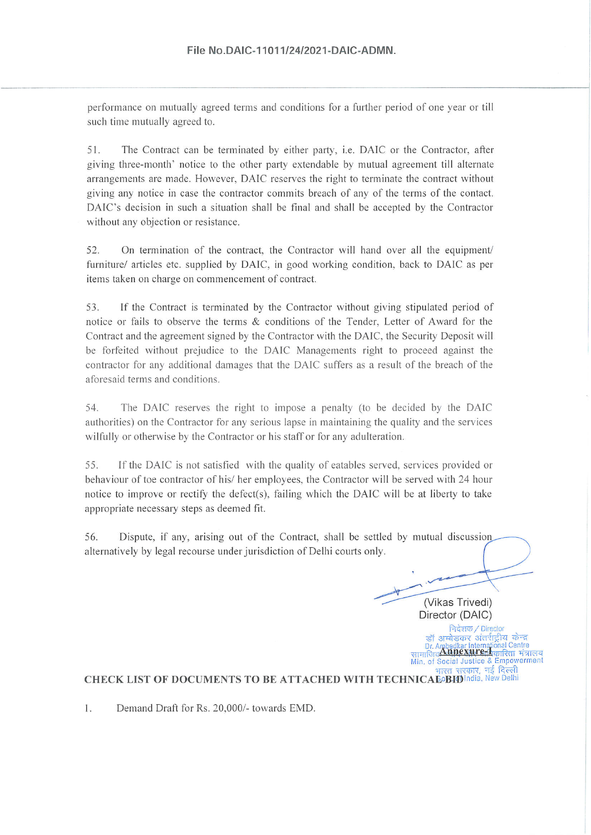performance on mutually agreed terms and conditions for a further period of one year or till such time mutually agreed to.

The Contract can be terminated by either party, i.e. DAIC or the Contractor, after 51. giving three-month' notice to the other party extendable by mutual agreement till alternate arrangements are made. However, DAIC reserves the right to terminate the contract without giving any notice in case the contractor commits breach of any of the terms of the contact. DAIC's decision in such a situation shall be final and shall be accepted by the Contractor without any objection or resistance.

52. On termination of the contract, the Contractor will hand over all the equipment/ furniture/ articles etc. supplied by DAIC, in good working condition, back to DAIC as per items taken on charge on commencement of contract.

If the Contract is terminated by the Contractor without giving stipulated period of 53. notice or fails to observe the terms & conditions of the Tender, Letter of Award for the Contract and the agreement signed by the Contractor with the DAIC, the Security Deposit will be forfeited without prejudice to the DAIC Managements right to proceed against the contractor for any additional damages that the DAIC suffers as a result of the breach of the aforesaid terms and conditions.

The DAIC reserves the right to impose a penalty (to be decided by the DAIC 54. authorities) on the Contractor for any serious lapse in maintaining the quality and the services wilfully or otherwise by the Contractor or his staff or for any adulteration.

55. If the DAIC is not satisfied with the quality of eatables served, services provided or behaviour of toe contractor of his/ her employees, the Contractor will be served with 24 hour notice to improve or rectify the defect(s), failing which the DAIC will be at liberty to take appropriate necessary steps as deemed fit.

56. Dispute, if any, arising out of the Contract, shall be settled by mutual discussion alternatively by legal recourse under jurisdiction of Delhi courts only.

(Vikas Trivedi) Director (DAIC) निदेशक / Director डॉ अम्बेडकर अंतर्राट्रीय केन्द्र Dr. Ambedkar International Centre<br>पाजिब**Annex ture**nAकारिता संत्रालय Min. of Social Justice & Empowerment <u>भारत सरकार, नई दिल्ली</u>

**CHECK LIST OF DOCUMENTS TO BE ATTACHED WITH TECHNICAEOBIOlndia, New Delhi** 

1. Demand Draft for Rs. 20,000/- towards EMD.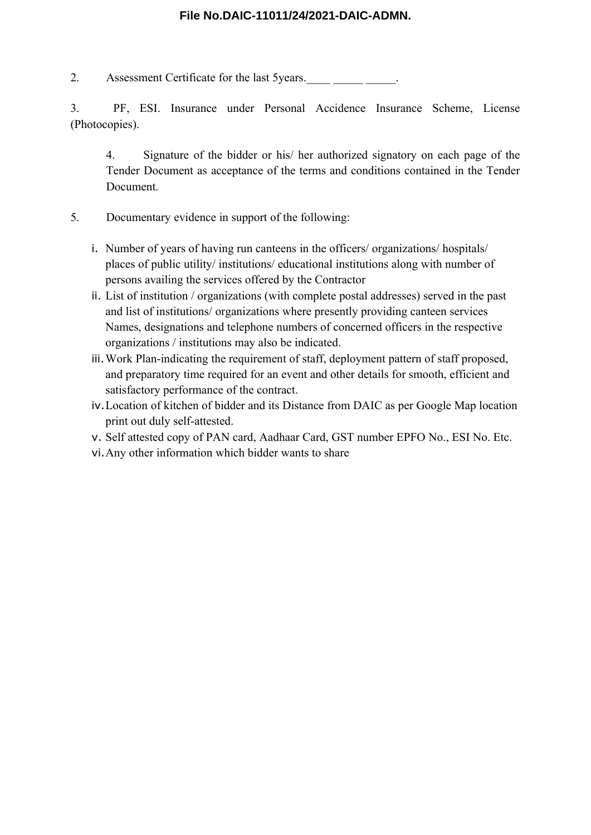2. Assessment Certificate for the last 5years.

3. PF, ESI. Insurance under Personal Accidence Insurance Scheme, License (Photocopies).

4. Signature of the bidder or his/ her authorized signatory on each page of the Tender Document as acceptance of the terms and conditions contained in the Tender Document.

- 5. Documentary evidence in support of the following:
	- i. Number of years of having run canteens in the officers/ organizations/ hospitals/ places of public utility/ institutions/ educational institutions along with number of persons availing the services offered by the Contractor
	- ii. List of institution / organizations (with complete postal addresses) served in the past and list of institutions/ organizations where presently providing canteen services Names, designations and telephone numbers of concerned officers in the respective organizations / institutions may also be indicated.
	- iii.Work Plan-indicating the requirement of staff, deployment pattern of staff proposed, and preparatory time required for an event and other details for smooth, efficient and satisfactory performance of the contract.
	- iv.Location of kitchen of bidder and its Distance from DAIC as per Google Map location print out duly self-attested.
	- v. Self attested copy of PAN card, Aadhaar Card, GST number EPFO No., ESI No. Etc.
	- vi.Any other information which bidder wants to share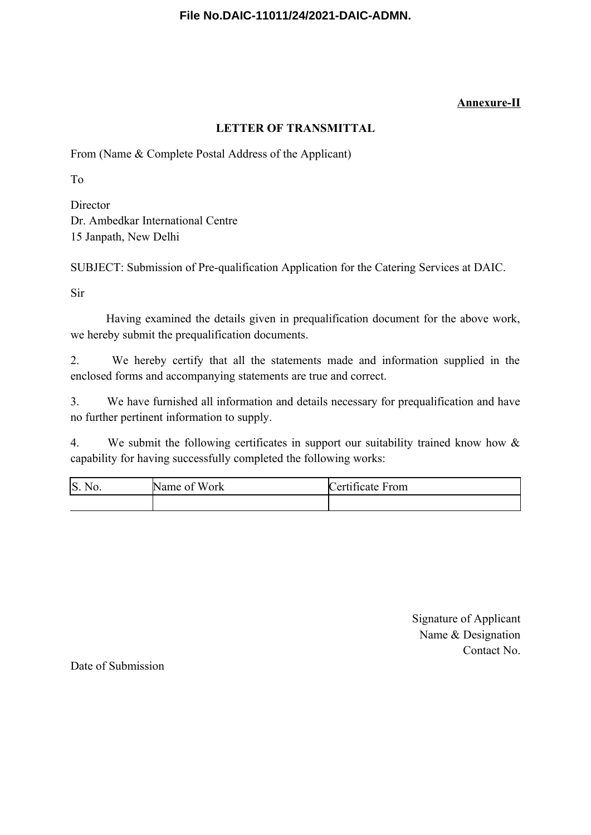# **Annexure-II**

# **LETTER OF TRANSMITTAL**

From (Name & Complete Postal Address of the Applicant)

To

**Director** Dr. Ambedkar International Centre 15 Janpath, New Delhi

SUBJECT: Submission of Pre-qualification Application for the Catering Services at DAIC.

Sir

Having examined the details given in prequalification document for the above work, we hereby submit the prequalification documents.

2. We hereby certify that all the statements made and information supplied in the enclosed forms and accompanying statements are true and correct.

3. We have furnished all information and details necessary for prequalification and have no further pertinent information to supply.

4. We submit the following certificates in support our suitability trained know how & capability for having successfully completed the following works:

| S.<br>$\mathsf{N}$ No. | Name of<br>Work | Certificate From |  |  |
|------------------------|-----------------|------------------|--|--|
|                        |                 |                  |  |  |

Signature of Applicant Name & Designation Contact No.

Date of Submission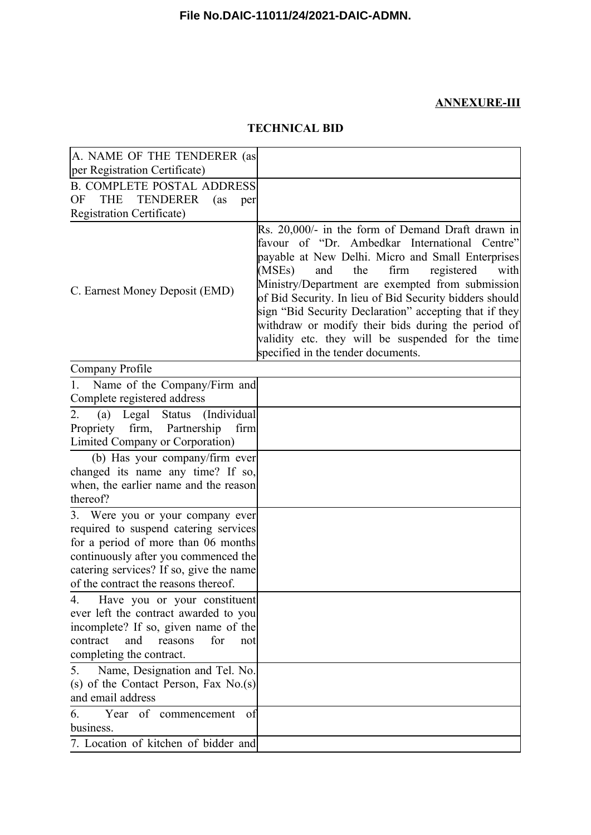# **ANNEXURE-III**

# **TECHNICAL BID**

| A. NAME OF THE TENDERER (as                                                                                                                                                                                                                 |                                                                                                                                                                                                                                                                                                                                                                                                                                                                                                                                            |
|---------------------------------------------------------------------------------------------------------------------------------------------------------------------------------------------------------------------------------------------|--------------------------------------------------------------------------------------------------------------------------------------------------------------------------------------------------------------------------------------------------------------------------------------------------------------------------------------------------------------------------------------------------------------------------------------------------------------------------------------------------------------------------------------------|
| per Registration Certificate)                                                                                                                                                                                                               |                                                                                                                                                                                                                                                                                                                                                                                                                                                                                                                                            |
| <b>B. COMPLETE POSTAL ADDRESS</b><br><b>THE</b><br><b>TENDERER</b><br>OF<br>(as<br>per                                                                                                                                                      |                                                                                                                                                                                                                                                                                                                                                                                                                                                                                                                                            |
| Registration Certificate)                                                                                                                                                                                                                   |                                                                                                                                                                                                                                                                                                                                                                                                                                                                                                                                            |
| C. Earnest Money Deposit (EMD)                                                                                                                                                                                                              | Rs. 20,000/- in the form of Demand Draft drawn in<br>favour of "Dr. Ambedkar International<br>Centre"<br>payable at New Delhi. Micro and Small Enterprises<br>(MSEs)<br>the<br>firm<br>registered<br>and<br>with<br>Ministry/Department are exempted from submission<br>of Bid Security. In lieu of Bid Security bidders should<br>sign "Bid Security Declaration" accepting that if they<br>withdraw or modify their bids during the period of<br>validity etc. they will be suspended for the time<br>specified in the tender documents. |
| Company Profile                                                                                                                                                                                                                             |                                                                                                                                                                                                                                                                                                                                                                                                                                                                                                                                            |
| Name of the Company/Firm and<br>1.                                                                                                                                                                                                          |                                                                                                                                                                                                                                                                                                                                                                                                                                                                                                                                            |
| Complete registered address                                                                                                                                                                                                                 |                                                                                                                                                                                                                                                                                                                                                                                                                                                                                                                                            |
| (Individual<br>Legal Status<br>2.<br>(a)<br>Propriety firm, Partnership<br>firm<br>Limited Company or Corporation)                                                                                                                          |                                                                                                                                                                                                                                                                                                                                                                                                                                                                                                                                            |
| (b) Has your company/firm ever<br>changed its name any time? If so,<br>when, the earlier name and the reason<br>thereof?                                                                                                                    |                                                                                                                                                                                                                                                                                                                                                                                                                                                                                                                                            |
| 3. Were you or your company ever<br>required to suspend catering services<br>for a period of more than 06 months<br>continuously after you commenced the<br>catering services? If so, give the name<br>of the contract the reasons thereof. |                                                                                                                                                                                                                                                                                                                                                                                                                                                                                                                                            |
| Have you or your constituent<br>4.<br>ever left the contract awarded to you<br>incomplete? If so, given name of the<br>for<br>contract<br>and<br>reasons<br>not<br>completing the contract.                                                 |                                                                                                                                                                                                                                                                                                                                                                                                                                                                                                                                            |
| Name, Designation and Tel. No.<br>5.<br>(s) of the Contact Person, Fax $No(s)$<br>and email address                                                                                                                                         |                                                                                                                                                                                                                                                                                                                                                                                                                                                                                                                                            |
| Year of commencement<br>6.<br>of<br>business.                                                                                                                                                                                               |                                                                                                                                                                                                                                                                                                                                                                                                                                                                                                                                            |
| 7. Location of kitchen of bidder and                                                                                                                                                                                                        |                                                                                                                                                                                                                                                                                                                                                                                                                                                                                                                                            |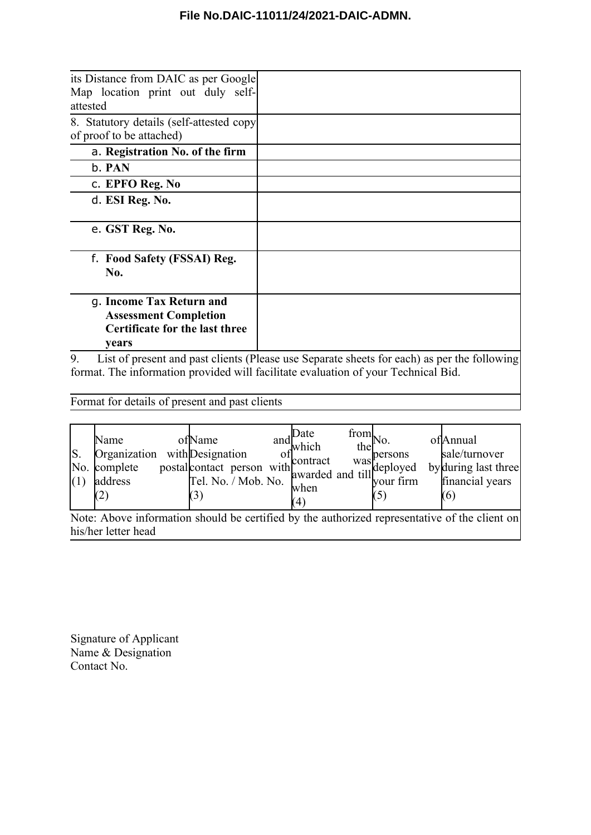| its Distance from DAIC as per Google<br>Map location print out duly self-<br>attested                      |  |
|------------------------------------------------------------------------------------------------------------|--|
| 8. Statutory details (self-attested copy)<br>of proof to be attached)                                      |  |
| a. Registration No. of the firm                                                                            |  |
| b. PAN                                                                                                     |  |
| c. EPFO Reg. No                                                                                            |  |
| d. ESI Reg. No.                                                                                            |  |
| e. GST Reg. No.                                                                                            |  |
| f. Food Safety (FSSAI) Reg.<br>No.                                                                         |  |
| g. Income Tax Return and<br><b>Assessment Completion</b><br><b>Certificate for the last three</b><br>years |  |

9. List of present and past clients (Please use Separate sheets for each) as per the following format. The information provided will facilitate evaluation of your Technical Bid.

Format for details of present and past clients

| S.<br>(1)                                                                                     | Name<br>Organization<br>No. complete<br>address |  | ofName<br>Tel. No. / Mob. No. |  | andl | Date<br>which<br>when<br>(4) | from<br>the | No.<br>with Designation<br>postal contact person with awarded and till deployed<br>warded and till deployed<br>$\frac{1}{2}$ vour firm | ofAnnual<br>sale/turnover<br>by during last three<br>financial years<br>(6) |
|-----------------------------------------------------------------------------------------------|-------------------------------------------------|--|-------------------------------|--|------|------------------------------|-------------|----------------------------------------------------------------------------------------------------------------------------------------|-----------------------------------------------------------------------------|
| Note: Above information should be certified by the authorized representative of the client on |                                                 |  |                               |  |      |                              |             |                                                                                                                                        |                                                                             |
|                                                                                               | his/her letter head                             |  |                               |  |      |                              |             |                                                                                                                                        |                                                                             |

Signature of Applicant Name & Designation Contact No.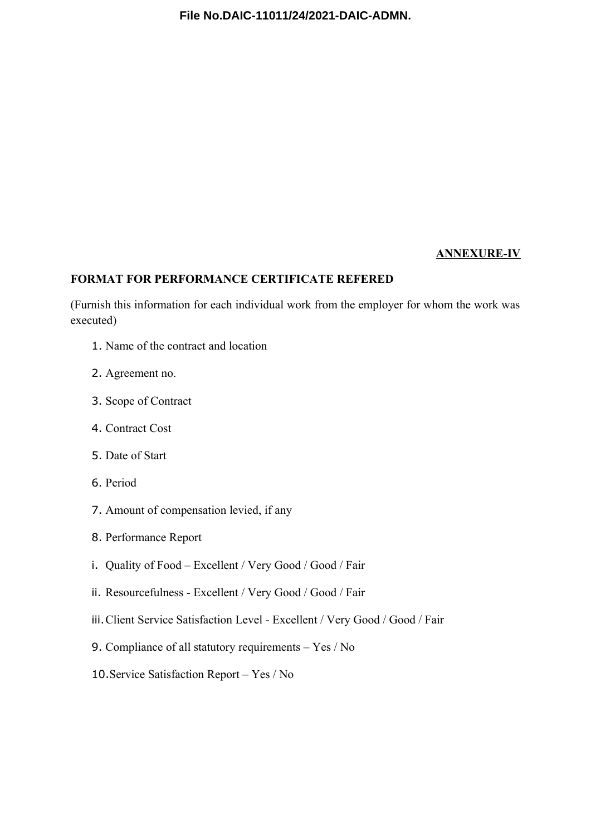#### **ANNEXURE-IV**

#### **FORMAT FOR PERFORMANCE CERTIFICATE REFERED**

(Furnish this information for each individual work from the employer for whom the work was executed)

- 1. Name of the contract and location
- 2. Agreement no.
- 3. Scope of Contract
- 4. Contract Cost
- 5. Date of Start
- 6. Period
- 7. Amount of compensation levied, if any
- 8. Performance Report
- i. Quality of Food Excellent / Very Good / Good / Fair
- ii. Resourcefulness Excellent / Very Good / Good / Fair
- iii.Client Service Satisfaction Level Excellent / Very Good / Good / Fair
- 9. Compliance of all statutory requirements Yes / No
- 10.Service Satisfaction Report Yes / No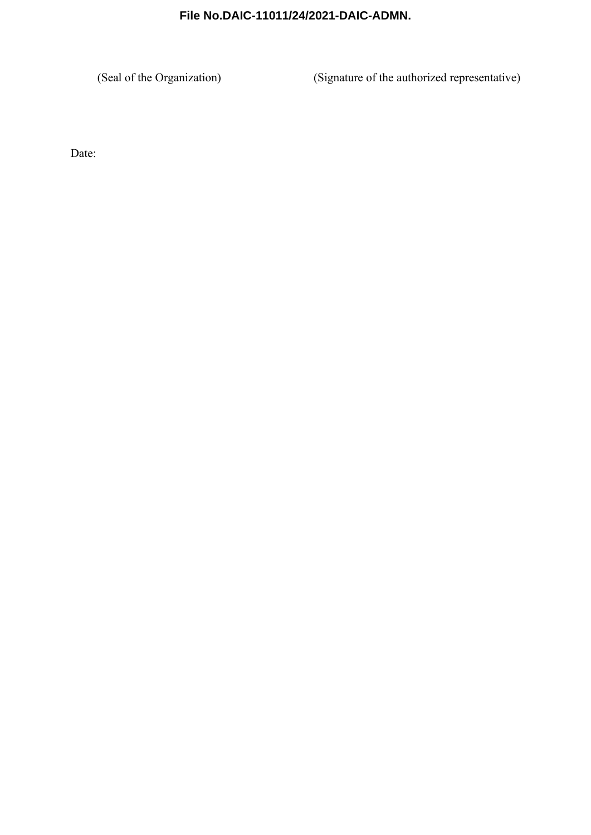(Seal of the Organization) (Signature of the authorized representative)

Date: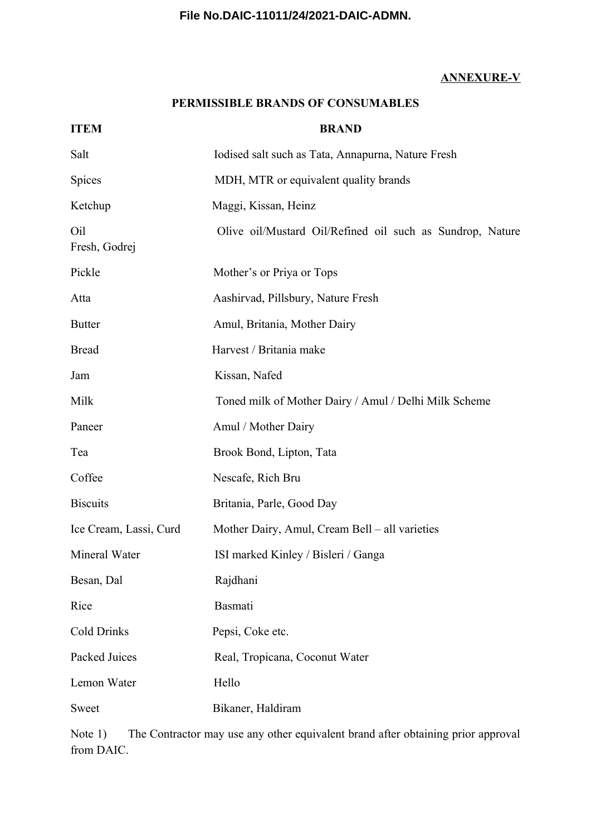# **ANNEXURE-V**

### **PERMISSIBLE BRANDS OF CONSUMABLES**

| <b>ITEM</b>            | <b>BRAND</b>                                              |
|------------------------|-----------------------------------------------------------|
| Salt                   | Iodised salt such as Tata, Annapurna, Nature Fresh        |
| Spices                 | MDH, MTR or equivalent quality brands                     |
| Ketchup                | Maggi, Kissan, Heinz                                      |
| Oil<br>Fresh, Godrej   | Olive oil/Mustard Oil/Refined oil such as Sundrop, Nature |
| Pickle                 | Mother's or Priya or Tops                                 |
| Atta                   | Aashirvad, Pillsbury, Nature Fresh                        |
| <b>Butter</b>          | Amul, Britania, Mother Dairy                              |
| <b>Bread</b>           | Harvest / Britania make                                   |
| Jam                    | Kissan, Nafed                                             |
| Milk                   | Toned milk of Mother Dairy / Amul / Delhi Milk Scheme     |
| Paneer                 | Amul / Mother Dairy                                       |
| Tea                    | Brook Bond, Lipton, Tata                                  |
| Coffee                 | Nescafe, Rich Bru                                         |
| <b>Biscuits</b>        | Britania, Parle, Good Day                                 |
| Ice Cream, Lassi, Curd | Mother Dairy, Amul, Cream Bell – all varieties            |
| Mineral Water          | ISI marked Kinley / Bisleri / Ganga                       |
| Besan, Dal             | Rajdhani                                                  |
| Rice                   | Basmati                                                   |
| Cold Drinks            | Pepsi, Coke etc.                                          |
| Packed Juices          | Real, Tropicana, Coconut Water                            |
| Lemon Water            | Hello                                                     |
| Sweet                  | Bikaner, Haldiram                                         |

Note 1) The Contractor may use any other equivalent brand after obtaining prior approval from DAIC.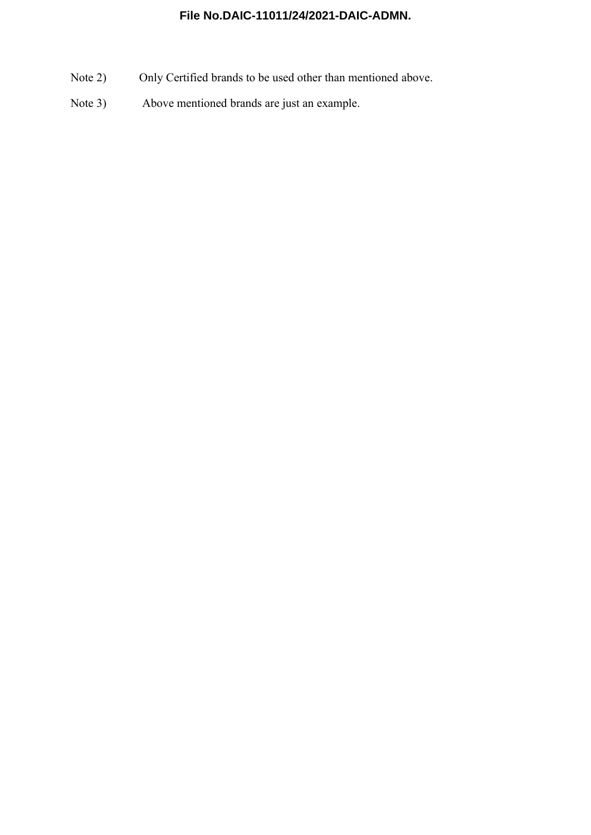- Note 2) Only Certified brands to be used other than mentioned above.
- Note 3) Above mentioned brands are just an example.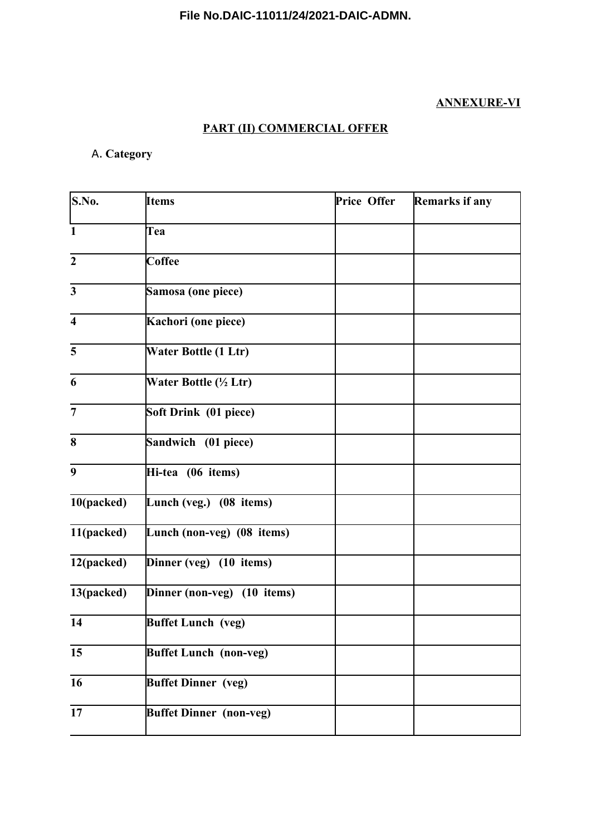# **ANNEXURE-VI**

# **PART (II) COMMERCIAL OFFER**

# A. **Category**

| S.No.                   | <b>Items</b>                   | Price Offer | Remarks if any |  |  |
|-------------------------|--------------------------------|-------------|----------------|--|--|
| $\mathbf{1}$            | Tea                            |             |                |  |  |
| $\overline{2}$          | <b>Coffee</b>                  |             |                |  |  |
| $\overline{\mathbf{3}}$ | Samosa (one piece)             |             |                |  |  |
| $\overline{\mathbf{4}}$ | Kachori (one piece)            |             |                |  |  |
| 5                       | Water Bottle (1 Ltr)           |             |                |  |  |
| 6                       | Water Bottle (½ Ltr)           |             |                |  |  |
| $\overline{7}$          | Soft Drink (01 piece)          |             |                |  |  |
| 8                       | Sandwich (01 piece)            |             |                |  |  |
| 9                       | Hi-tea (06 items)              |             |                |  |  |
| 10(packed)              | Lunch (veg.) (08 items)        |             |                |  |  |
| 11(packed)              | Lunch (non-veg) (08 items)     |             |                |  |  |
| 12(packed)              | Dinner (veg) (10 items)        |             |                |  |  |
| 13(packed)              | Dinner (non-veg) (10 items)    |             |                |  |  |
| 14                      | <b>Buffet Lunch</b> (veg)      |             |                |  |  |
| 15                      | <b>Buffet Lunch (non-veg)</b>  |             |                |  |  |
| 16                      | <b>Buffet Dinner</b> (veg)     |             |                |  |  |
| 17                      | <b>Buffet Dinner (non-veg)</b> |             |                |  |  |